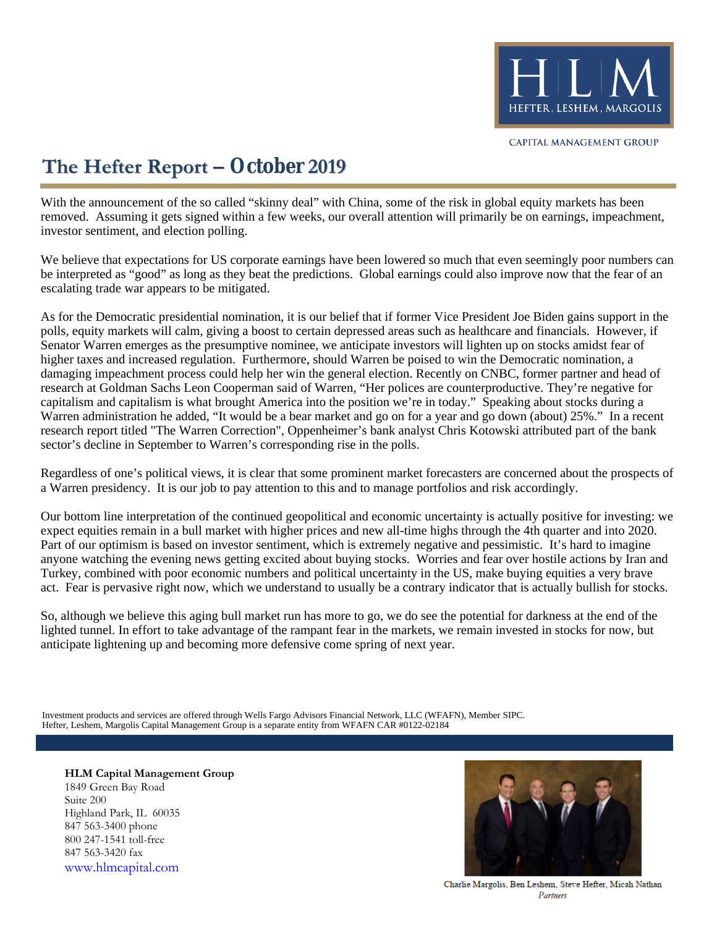

# **The Hefter Report – October 2019**

With the announcement of the so called "skinny deal" with China, some of the risk in global equity markets has been removed. Assuming it gets signed within a few weeks, our overall attention will primarily be on earnings, impeachment, investor sentiment, and election polling.

We believe that expectations for US corporate earnings have been lowered so much that even seemingly poor numbers can be interpreted as "good" as long as they beat the predictions. Global earnings could also improve now that the fear of an escalating trade war appears to be mitigated.

As for the Democratic presidential nomination, it is our belief that if former Vice President Joe Biden gains support in the polls, equity markets will calm, giving a boost to certain depressed areas such as healthcare and financials. However, if Senator Warren emerges as the presumptive nominee, we anticipate investors will lighten up on stocks amidst fear of higher taxes and increased regulation. Furthermore, should Warren be poised to win the Democratic nomination, a damaging impeachment process could help her win the general election. Recently on CNBC, former partner and head of research at Goldman Sachs Leon Cooperman said of Warren, "Her polices are counterproductive. They're negative for capitalism and capitalism is what brought America into the position we're in today." Speaking about stocks during a Warren administration he added, "It would be a bear market and go on for a year and go down (about) 25%." In a recent research report titled "The Warren Correction", Oppenheimer's bank analyst Chris Kotowski attributed part of the bank sector's decline in September to Warren's corresponding rise in the polls.

Regardless of one's political views, it is clear that some prominent market forecasters are concerned about the prospects of a Warren presidency. It is our job to pay attention to this and to manage portfolios and risk accordingly.

Our bottom line interpretation of the continued geopolitical and economic uncertainty is actually positive for investing: we expect equities remain in a bull market with higher prices and new all-time highs through the 4th quarter and into 2020. Part of our optimism is based on investor sentiment, which is extremely negative and pessimistic. It's hard to imagine anyone watching the evening news getting excited about buying stocks. Worries and fear over hostile actions by Iran and Turkey, combined with poor economic numbers and political uncertainty in the US, make buying equities a very brave act. Fear is pervasive right now, which we understand to usually be a contrary indicator that is actually bullish for stocks.

So, although we believe this aging bull market run has more to go, we do see the potential for darkness at the end of the lighted tunnel. In effort to take advantage of the rampant fear in the markets, we remain invested in stocks for now, but anticipate lightening up and becoming more defensive come spring of next year.

Hefter, Leshem, Margolis Capital Management Group is a separate entity from WFAFN CAR #0122-02184 Investment products and services are offered through Wells Fargo Advisors Financial Network, LLC (WFAFN), Member SIPC.

**HLM Capital Management Group** 1849 Green Bay Road Suite 200 Highland Park, IL 60035 847 563-3400 phone 800 247-1541 toll-free 847 563-3420 fax [www.hlmcapital.com](http://www.hlmcapital.com/)



Charlie Margolis, Ben Leshem, Steve Hefter, Micah Nathan Partners